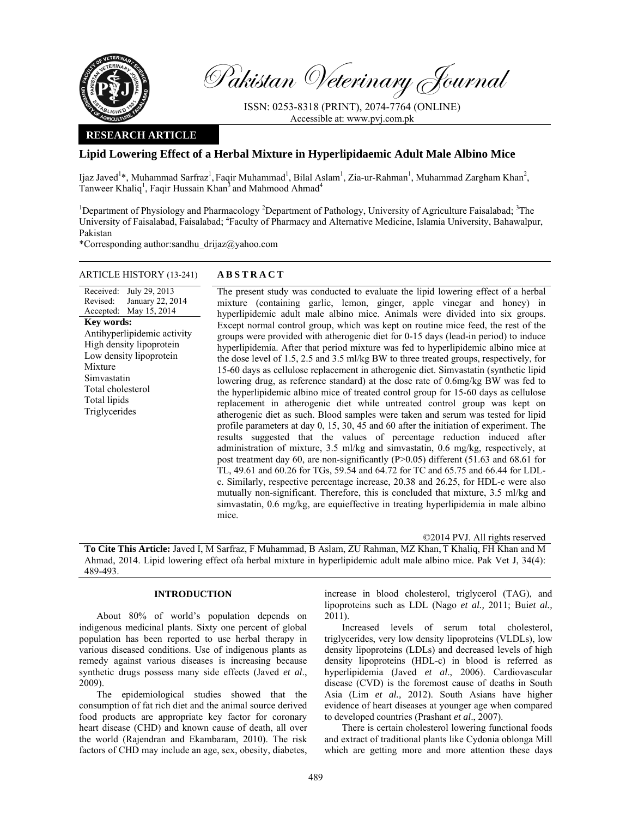

Pakistan Veterinary Journal

ISSN: 0253-8318 (PRINT), 2074-7764 (ONLINE) Accessible at: www.pvj.com.pk

# **RESEARCH ARTICLE**

# **Lipid Lowering Effect of a Herbal Mixture in Hyperlipidaemic Adult Male Albino Mice**

Ijaz Javed<sup>1</sup>\*, Muhammad Sarfraz<sup>1</sup>, Faqir Muhammad<sup>1</sup>, Bilal Aslam<sup>1</sup>, Zia-ur-Rahman<sup>1</sup>, Muhammad Zargham Khan<sup>2</sup>, Tanweer Khaliq<sup>1</sup>, Faqir Hussain Khan<sup>3</sup> and Mahmood Ahmad<sup>4</sup>

<sup>1</sup>Department of Physiology and Pharmacology <sup>2</sup>Department of Pathology, University of Agriculture Faisalabad; <sup>3</sup>The University of Faisalabad, Faisalabad; <sup>4</sup>Faculty of Pharmacy and Alternative Medicine, Islamia University, Bahawalpur, Pakistan

\*Corresponding author:sandhu\_drijaz@yahoo.com

## ARTICLE HISTORY (13-241) **ABSTRACT**

Received: July 29, 2013 Revised: Accepted: January 22, 2014 May 15, 2014 **Key words:**  Antihyperlipidemic activity High density lipoprotein Low density lipoprotein Mixture Simvastatin Total cholesterol Total lipids Triglycerides

 The present study was conducted to evaluate the lipid lowering effect of a herbal mixture (containing garlic, lemon, ginger*,* apple vinegar and honey) in hyperlipidemic adult male albino mice. Animals were divided into six groups. Except normal control group, which was kept on routine mice feed, the rest of the groups were provided with atherogenic diet for 0-15 days (lead-in period) to induce hyperlipidemia. After that period mixture was fed to hyperlipidemic albino mice at the dose level of 1.5, 2.5 and 3.5 ml/kg BW to three treated groups, respectively, for 15-60 days as cellulose replacement in atherogenic diet. Simvastatin (synthetic lipid lowering drug, as reference standard) at the dose rate of 0.6mg/kg BW was fed to the hyperlipidemic albino mice of treated control group for 15-60 days as cellulose replacement in atherogenic diet while untreated control group was kept on atherogenic diet as such. Blood samples were taken and serum was tested for lipid profile parameters at day 0, 15, 30, 45 and 60 after the initiation of experiment. The results suggested that the values of percentage reduction induced after administration of mixture, 3.5 ml/kg and simvastatin, 0.6 mg/kg, respectively, at post treatment day 60, are non-significantly (P>0.05) different (51.63 and 68.61 for TL, 49.61 and 60.26 for TGs, 59.54 and 64.72 for TC and 65.75 and 66.44 for LDLc. Similarly, respective percentage increase, 20.38 and 26.25, for HDL-c were also mutually non-significant. Therefore, this is concluded that mixture, 3.5 ml/kg and simvastatin, 0.6 mg/kg, are equieffective in treating hyperlipidemia in male albino mice.

©2014 PVJ. All rights reserved

**To Cite This Article:** Javed I, M Sarfraz, F Muhammad, B Aslam, ZU Rahman, MZ Khan, T Khaliq, FH Khan and M Ahmad, 2014. Lipid lowering effect ofa herbal mixture in hyperlipidemic adult male albino mice. Pak Vet J, 34(4): 489-493.

## **INTRODUCTION**

About 80% of world's population depends on indigenous medicinal plants. Sixty one percent of global population has been reported to use herbal therapy in various diseased conditions. Use of indigenous plants as remedy against various diseases is increasing because synthetic drugs possess many side effects (Javed *et al*., 2009).

The epidemiological studies showed that the consumption of fat rich diet and the animal source derived food products are appropriate key factor for coronary heart disease (CHD) and known cause of death, all over the world (Rajendran and Ekambaram, 2010). The risk factors of CHD may include an age, sex, obesity, diabetes,

increase in blood cholesterol, triglycerol (TAG), and lipoproteins such as LDL (Nago *et al.,* 2011; Bui*et al.,* 2011).

Increased levels of serum total cholesterol, triglycerides, very low density lipoproteins (VLDLs), low density lipoproteins (LDLs) and decreased levels of high density lipoproteins (HDL-c) in blood is referred as hyperlipidemia (Javed *et al*., 2006). Cardiovascular disease (CVD) is the foremost cause of deaths in South Asia (Lim *et al.,* 2012). South Asians have higher evidence of heart diseases at younger age when compared to developed countries (Prashant *et al*., 2007).

There is certain cholesterol lowering functional foods and extract of traditional plants like Cydonia oblonga Mill which are getting more and more attention these days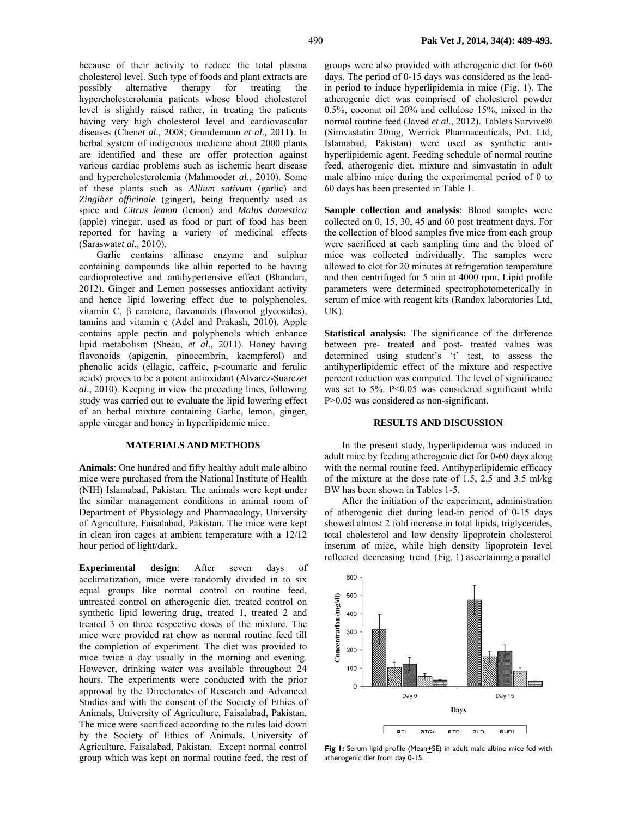because of their activity to reduce the total plasma cholesterol level. Such type of foods and plant extracts are possibly alternative therapy for treating the hypercholesterolemia patients whose blood cholesterol level is slightly raised rather, in treating the patients having very high cholesterol level and cardiovascular diseases (Chen*et al.,* 2008; Grundemann *et al.,* 2011). In herbal system of indigenous medicine about 2000 plants are identified and these are offer protection against various cardiac problems such as ischemic heart disease and hypercholesterolemia (Mahmood*et al*., 2010). Some of these plants such as *Allium sativum* (garlic) and *Zingiber officinale* (ginger), being frequently used as spice and *Citrus lemon* (lemon) and *Malus domestica* (apple) vinegar, used as food or part of food has been reported for having a variety of medicinal effects (Saraswat*et al.,* 2010).

Garlic contains allinase enzyme and sulphur containing compounds like alliin reported to be having cardioprotective and antihypertensive effect (Bhandari, 2012). Ginger and Lemon possesses antioxidant activity and hence lipid lowering effect due to polyphenoles, vitamin C, β carotene, flavonoids (flavonol glycosides), tannins and vitamin c (Adel and Prakash, 2010). Apple contains apple pectin and polyphenols which enhance lipid metabolism (Sheau, *et al*., 2011). Honey having flavonoids (apigenin, pinocembrin, kaempferol) and phenolic acids (ellagic, caffeic, p-coumaric and ferulic acids) proves to be a potent antioxidant (Alvarez-Suarez*et al*., 2010). Keeping in view the preceding lines, following study was carried out to evaluate the lipid lowering effect of an herbal mixture containing Garlic, lemon, ginger, apple vinegar and honey in hyperlipidemic mice.

### **MATERIALS AND METHODS**

**Animals**: One hundred and fifty healthy adult male albino mice were purchased from the National Institute of Health (NIH) Islamabad, Pakistan. The animals were kept under the similar management conditions in animal room of Department of Physiology and Pharmacology, University of Agriculture, Faisalabad, Pakistan. The mice were kept in clean iron cages at ambient temperature with a 12/12 hour period of light/dark.

**Experimental design**: After seven days of acclimatization, mice were randomly divided in to six equal groups like normal control on routine feed, untreated control on atherogenic diet, treated control on synthetic lipid lowering drug, treated 1, treated 2 and treated 3 on three respective doses of the mixture. The mice were provided rat chow as normal routine feed till the completion of experiment. The diet was provided to mice twice a day usually in the morning and evening. However, drinking water was available throughout 24 hours. The experiments were conducted with the prior approval by the Directorates of Research and Advanced Studies and with the consent of the Society of Ethics of Animals, University of Agriculture, Faisalabad, Pakistan. The mice were sacrificed according to the rules laid down by the Society of Ethics of Animals, University of Agriculture, Faisalabad, Pakistan. Except normal control group which was kept on normal routine feed, the rest of groups were also provided with atherogenic diet for 0-60 days. The period of 0-15 days was considered as the leadin period to induce hyperlipidemia in mice (Fig. 1). The atherogenic diet was comprised of cholesterol powder 0.5%, coconut oil 20% and cellulose 15%, mixed in the normal routine feed (Javed *et al.*, 2012). Tablets Survive® (Simvastatin 20mg, Werrick Pharmaceuticals, Pvt. Ltd, Islamabad, Pakistan) were used as synthetic antihyperlipidemic agent. Feeding schedule of normal routine feed, atherogenic diet, mixture and simvastatin in adult male albino mice during the experimental period of 0 to 60 days has been presented in Table 1.

**Sample collection and analysis**: Blood samples were collected on 0, 15, 30, 45 and 60 post treatment days. For the collection of blood samples five mice from each group were sacrificed at each sampling time and the blood of mice was collected individually. The samples were allowed to clot for 20 minutes at refrigeration temperature and then centrifuged for 5 min at 4000 rpm. Lipid profile parameters were determined spectrophotometerically in serum of mice with reagent kits (Randox laboratories Ltd, UK).

**Statistical analysis:** The significance of the difference between pre- treated and post- treated values was determined using student's 't' test, to assess the antihyperlipidemic effect of the mixture and respective percent reduction was computed. The level of significance was set to 5%. P<0.05 was considered significant while P>0.05 was considered as non-significant.

#### **RESULTS AND DISCUSSION**

In the present study, hyperlipidemia was induced in adult mice by feeding atherogenic diet for 0-60 days along with the normal routine feed. Antihyperlipidemic efficacy of the mixture at the dose rate of 1.5, 2.5 and 3.5 ml/kg BW has been shown in Tables 1-5.

After the initiation of the experiment, administration of atherogenic diet during lead-in period of 0-15 days showed almost 2 fold increase in total lipids, triglycerides, total cholesterol and low density lipoprotein cholesterol inserum of mice, while high density lipoprotein level reflected decreasing trend (Fig. 1) ascertaining a parallel



Fig I: Serum lipid profile (Mean<sup>+</sup>SE) in adult male albino mice fed with atherogenic diet from day 0-15.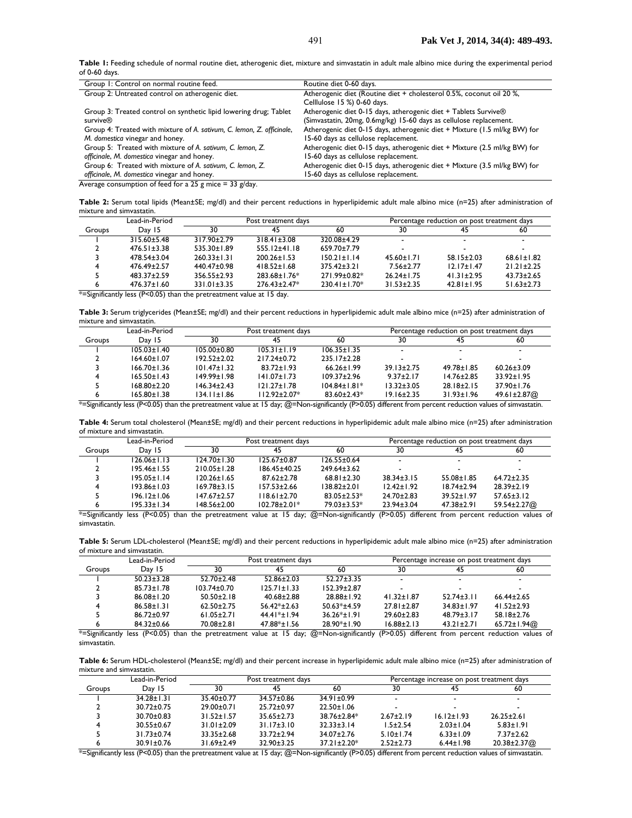Table 1: Feeding schedule of normal routine diet, atherogenic diet, mixture and simvastatin in adult male albino mice during the experimental period of 0-60 days.

| Group 1: Control on normal routine feed.                              | Routine diet 0-60 days.                                                   |
|-----------------------------------------------------------------------|---------------------------------------------------------------------------|
| Group 2: Untreated control on atherogenic diet.                       | Atherogenic diet (Routine diet + cholesterol 0.5%, coconut oil 20 %,      |
|                                                                       | Celllulose 15 %) 0-60 days.                                               |
| Group 3: Treated control on synthetic lipid lowering drug; Tablet     | Atherogenic diet 0-15 days, atherogenic diet + Tablets Survive®           |
| survive®                                                              | (Simvastatin, 20mg, 0.6mg/kg) 15-60 days as cellulose replacement.        |
| Group 4: Treated with mixture of A. sativum, C. lemon, Z. officinale, | Atherogenic diet 0-15 days, atherogenic diet + Mixture (1.5 ml/kg BW) for |
| M. domestica vinegar and honey.                                       | 15-60 days as cellulose replacement.                                      |
| Group 5: Treated with mixture of A. sativum, C. lemon, Z.             | Atherogenic diet 0-15 days, atherogenic diet + Mixture (2.5 ml/kg BW) for |
| officinale, M. domestica vinegar and honey.                           | 15-60 days as cellulose replacement.                                      |
| Group 6: Treated with mixture of A. sativum, C. lemon, Z.             | Atherogenic diet 0-15 days, atherogenic diet + Mixture (3.5 ml/kg BW) for |
| officinale, M. domestica vinegar and honey.                           | 15-60 days as cellulose replacement.                                      |
| Average consumption of feed for a 25 g mice $=$ 33 g/day.             |                                                                           |

**Table 2:** Serum total lipids (Mean±SE; mg/dl) and their percent reductions in hyperlipidemic adult male albino mice (n=25) after administration of mixture and simvastatin.

|                   | Lead-in-Period    | Post treatment days |                    |                    | Percentage reduction on post treatment days |                  |                  |
|-------------------|-------------------|---------------------|--------------------|--------------------|---------------------------------------------|------------------|------------------|
| Groups            | Day 15            | 30                  | 45                 | 60                 | 30                                          | 45               | 60               |
|                   | $315.60 \pm 5.48$ | $317.90 \pm 2.79$   | $318.41 \pm 3.08$  | 320.08±4.29        |                                             |                  |                  |
|                   | $476.51 \pm 3.38$ | $535.30 \pm 1.89$   | $555.12 \pm 41.18$ | 659.70±7.79        |                                             |                  |                  |
|                   | 478.54±3.04       | $260.33 \pm 1.31$   | $200.26 \pm 1.53$  | $150.21 \pm 1.14$  | $45.60 \pm 1.71$                            | $58.15 \pm 2.03$ | $68.61 \pm 1.82$ |
|                   | 476.49±2.57       | 440.47±0.98         | $418.52 \pm 1.68$  | $375.42 \pm 3.21$  | $7.56 \pm 2.77$                             | $12.17 \pm 1.47$ | $21.21 \pm 2.25$ |
|                   | 483.37±2.59       | $356.55 \pm 2.93$   | 283.68±1.76*       | 271.99±0.82*       | $26.24 \pm 1.75$                            | $41.31 \pm 2.95$ | $43.73 \pm 2.65$ |
| n<br>$\mathbf{a}$ | $476.37 \pm 1.60$ | 331.01±3.35         | $276.43 \pm 2.47*$ | $230.41 \pm 1.70*$ | $31.53 \pm 2.35$                            | $42.81 \pm 1.95$ | $51.63 \pm 2.73$ |

 $*$ =Significantly less (P<0.05) than the pretreatment value at 15 day.

Table 3: Serum triglycerides (Mean±SE; mg/dl) and their percent reductions in hyperlipidemic adult male albino mice (n=25) after administration of mixture and simvastatin.

|        | Lead-in-Period    | Post treatment days |                                          |                    | Percentage reduction on post treatment days |                  |                  |
|--------|-------------------|---------------------|------------------------------------------|--------------------|---------------------------------------------|------------------|------------------|
| Groups | Day 15            | 30                  | 45                                       | 60                 | 30                                          | 45               | 60               |
|        | $105.03 \pm 1.40$ | $105.00 \pm 0.80$   | $105.31 \pm 1.19$                        | $106.35 \pm 1.35$  |                                             | ۰                |                  |
|        | $164.60 \pm 1.07$ | $192.52 \pm 2.02$   | 217.24±0.72                              | $235.17 \pm 2.28$  |                                             |                  |                  |
|        | $166.70 \pm 1.36$ | $101.47 \pm 1.32$   | $83.72 \pm 1.93$                         | $66.26 \pm 1.99$   | $39.13 \pm 2.75$                            | $49.78 \pm 1.85$ | $60.26 \pm 3.09$ |
| Δ      | $165.50 \pm 1.43$ | 149.99±1.98         | $141.07 \pm 1.73$                        | $109.37 \pm 2.96$  | $9.37 \pm 2.17$                             | $14.76 \pm 2.85$ | $33.92 \pm 1.95$ |
|        | 168.80±2.20       | $146.34 \pm 2.43$   | $121.27 \pm 1.78$                        | $104.84 \pm 1.81*$ | $13.32 \pm 3.05$                            | $28.18 \pm 2.15$ | $37.90 \pm 1.76$ |
|        | $165.80 \pm 1.38$ | 134.11±1.86         | 112.92±2.07*<br>$\overline{\phantom{a}}$ | $83.60 \pm 2.43*$  | $19.16 \pm 2.35$                            | $31.93 \pm 1.96$ | 49.61±2.87@      |

\*=Significantly less (P<0.05) than the pretreatment value at 15 day; @=Non-significantly (P>0.05) different from percent reduction values of simvastatin.

Table 4: Serum total cholesterol (Mean±SE; mg/dl) and their percent reductions in hyperlipidemic adult male albino mice (n=25) after administration of mixture and simvastatin.

|        | Lead-in-Period    | Post treatment days |                    |                   |                  | Percentage reduction on post treatment days |                  |
|--------|-------------------|---------------------|--------------------|-------------------|------------------|---------------------------------------------|------------------|
| Groups | Day 15            | 30                  | 45                 | 60                | 30               | 45                                          | 60               |
|        | $126.06 \pm 1.13$ | $124.70 \pm 1.30$   | $125.67 \pm 0.87$  | $126.55 \pm 0.64$ |                  | $\overline{\phantom{a}}$                    |                  |
|        | $195.46 \pm 1.55$ | $210.05 \pm 1.28$   | 186.45±40.25       | $249.64 \pm 3.62$ |                  |                                             |                  |
|        | $195.05 \pm 1.14$ | $120.26 \pm 1.65$   | $87.62 \pm 2.78$   | $68.81 \pm 2.30$  | $38.34 \pm 3.15$ | $55.08 \pm 1.85$                            | $64.72 \pm 2.35$ |
|        | $193.86 \pm 1.03$ | $169.78 \pm 3.15$   | $157.53 \pm 2.66$  | 138.82±2.01       | $12.42 \pm 1.92$ | $18.74 \pm 2.94$                            | $28.39 \pm 2.19$ |
|        | $196.12 \pm 1.06$ | $147.67 \pm 2.57$   | $118.61 \pm 2.70$  | $83.05 \pm 2.53*$ | $24.70 \pm 2.83$ | $39.52 \pm 1.97$                            | $57.65 \pm 3.12$ |
|        | $195.33 \pm 1.34$ | 148.56±2.00         | $102.78 \pm 2.01*$ | $79.03 \pm 3.53*$ | $23.94 \pm 3.04$ | $47.38 \pm 2.91$                            | 59.54±2.27@      |

\*=Significantly less (P<0.05) than the pretreatment value at 15 day; @=Non-significantly (P>0.05) different from percent reduction values of simvastatin.

**Table 5:** Serum LDL-cholesterol (Mean±SE; mg/dl) and their percent reductions in hyperlipidemic adult male albino mice (n=25) after administration of mixture and simvastatin.

|        | Lead-in-Period   | Post treatment days |                   |                   | Percentage increase on post treatment days |                          |                  |
|--------|------------------|---------------------|-------------------|-------------------|--------------------------------------------|--------------------------|------------------|
| Groups | Day 15           | 30                  | 45                | 60                | 30                                         | 45                       | 60               |
|        | $50.23 \pm 3.28$ | $52.70 \pm 2.48$    | $52.86 \pm 2.03$  | $52.27 \pm 3.35$  |                                            | $\overline{\phantom{a}}$ |                  |
|        | $85.73 \pm 1.78$ | $103.74 \pm 0.70$   | $125.71 \pm 1.33$ | $152.39 \pm 2.87$ |                                            |                          |                  |
|        | $86.08 \pm 1.20$ | $50.50 \pm 2.18$    | $40.68 \pm 2.88$  | $28.88 \pm 1.92$  | $41.32 \pm 1.87$                           | $52.74 \pm 3.11$         | $66.44 \pm 2.65$ |
|        | $86.58 \pm 1.31$ | $62.50 \pm 2.75$    | $56.42*+2.63$     | $50.63*±4.59$     | $27.81 \pm 2.87$                           | $34.83 \pm 1.97$         | $41.52 \pm 2.93$ |
|        | $86.72 \pm 0.97$ | $61.05 \pm 2.71$    | 44.41*±1.94       | $36.26*+1.91$     | $29.60 \pm 2.83$                           | $48.79 \pm 3.17$         | $58.18 \pm 2.76$ |
|        | $84.32 \pm 0.66$ | 70.08±2.81          | 47.88*±1.56       | 28.90*±1.90       | $16.88 \pm 2.13$                           | $43.21 \pm 2.71$         | 65.72±1.94@      |

\*=Significantly less (P<0.05) than the pretreatment value at 15 day; @=Non-significantly (P>0.05) different from percent reduction values of simvastatin.

Table 6: Serum HDL-cholesterol (Mean±SE; mg/dl) and their percent increase in hyperlipidemic adult male albino mice (n=25) after administration of mixture and simvastatin.

|        | Lead-in-Period   | Post treatment days |                  |                   | Percentage increase on post treatment days |                  |                  |  |
|--------|------------------|---------------------|------------------|-------------------|--------------------------------------------|------------------|------------------|--|
| Groups | Dav 15           | 30                  |                  | 60                | 30                                         |                  | 60               |  |
|        | $34.28 \pm 1.31$ | 35.40±0.77          | 34.57±0.86       | $34.91 \pm 0.99$  |                                            |                  |                  |  |
|        | $30.72 \pm 0.75$ | 29.00±0.71          | $25.72 \pm 0.97$ | $22.50 \pm 1.06$  |                                            |                  |                  |  |
|        | $30.70 \pm 0.83$ | $31.52 \pm 1.57$    | $35.65 \pm 2.73$ | 38.76±2.84*       | $2.67 \pm 2.19$                            | $16.12 \pm 1.93$ | $26.25 \pm 2.61$ |  |
|        | $30.55 \pm 0.67$ | $31.01 \pm 2.09$    | $31.17 \pm 3.10$ | $32.33 \pm 3.14$  | $1.5 + 2.54$                               | $2.03 \pm 1.04$  | $5.83 \pm 1.91$  |  |
|        | $31.73 \pm 0.74$ | $33.35 \pm 2.68$    | 33.72±2.94       | $34.07 \pm 2.76$  | $5.10 \pm 1.74$                            | $6.33 \pm 1.09$  | $7.37 \pm 2.62$  |  |
|        | 30.91±0.76       | $31.69 \pm 2.49$    | $32.90 \pm 3.25$ | $37.21 \pm 2.20*$ | $2.52 \pm 2.73$                            | $6.44 \pm 1.98$  | 20.38±2.37@      |  |

\*=Significantly less (P<0.05) than the pretreatment value at 15 day; @=Non-significantly (P>0.05) different from percent reduction values of simvastatin.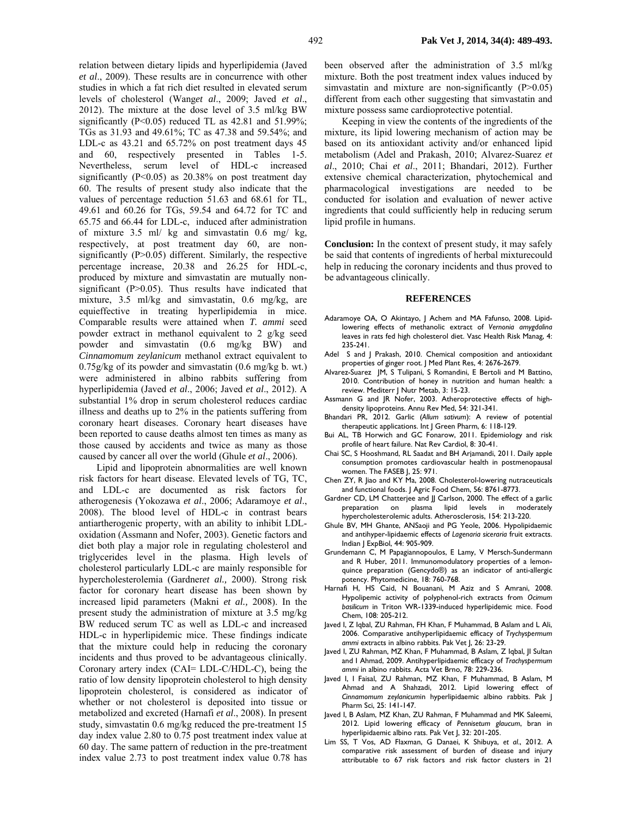relation between dietary lipids and hyperlipidemia (Javed *et al*., 2009). These results are in concurrence with other studies in which a fat rich diet resulted in elevated serum levels of cholesterol (Wang*et al*., 2009; Javed *et al*., 2012). The mixture at the dose level of 3.5 ml/kg BW significantly (P<0.05) reduced TL as 42.81 and 51.99%; TGs as 31.93 and 49.61%; TC as 47.38 and 59.54%; and LDL-c as 43.21 and 65.72% on post treatment days 45 and 60, respectively presented in Tables 1-5. Nevertheless, serum level of HDL-c increased significantly  $(P<0.05)$  as 20.38% on post treatment day 60. The results of present study also indicate that the values of percentage reduction 51.63 and 68.61 for TL, 49.61 and 60.26 for TGs, 59.54 and 64.72 for TC and 65.75 and 66.44 for LDL-c, induced after administration of mixture 3.5 ml/ kg and simvastatin 0.6 mg/ kg, respectively, at post treatment day 60, are nonsignificantly (P>0.05) different. Similarly, the respective percentage increase, 20.38 and 26.25 for HDL-c, produced by mixture and simvastatin are mutually nonsignificant  $(P>0.05)$ . Thus results have indicated that mixture, 3.5 ml/kg and simvastatin, 0.6 mg/kg, are equieffective in treating hyperlipidemia in mice. Comparable results were attained when *T. ammi* seed powder extract in methanol equivalent to 2 g/kg seed powder and simvastatin (0.6 mg/kg BW) and *Cinnamomum zeylanicum* methanol extract equivalent to 0.75g/kg of its powder and simvastatin (0.6 mg/kg b. wt.) were administered in albino rabbits suffering from hyperlipidemia (Javed *et al*., 2006; Javed *et al*., 2012). A substantial 1% drop in serum cholesterol reduces cardiac illness and deaths up to 2% in the patients suffering from coronary heart diseases. Coronary heart diseases have been reported to cause deaths almost ten times as many as those caused by accidents and twice as many as those

Lipid and lipoprotein abnormalities are well known risk factors for heart disease. Elevated levels of TG, TC, and LDL-c are documented as risk factors for atherogenesis (Yokozawa *et al*., 2006; Adaramoye *et al*., 2008). The blood level of HDL-c in contrast bears antiartherogenic property, with an ability to inhibit LDLoxidation (Assmann and Nofer, 2003). Genetic factors and diet both play a major role in regulating cholesterol and triglycerides level in the plasma. High levels of cholesterol particularly LDL-c are mainly responsible for hypercholesterolemia (Gardner*et al.,* 2000). Strong risk factor for coronary heart disease has been shown by increased lipid parameters (Makni *et al.,* 2008). In the present study the administration of mixture at 3.5 mg/kg BW reduced serum TC as well as LDL-c and increased HDL-c in hyperlipidemic mice. These findings indicate that the mixture could help in reducing the coronary incidents and thus proved to be advantageous clinically. Coronary artery index (CAI= LDL-C/HDL-C), being the ratio of low density lipoprotein cholesterol to high density lipoprotein cholesterol, is considered as indicator of whether or not cholesterol is deposited into tissue or metabolized and excreted (Harnafi *et al*., 2008). In present study, simvastatin 0.6 mg/kg reduced the pre-treatment 15 day index value 2.80 to 0.75 post treatment index value at 60 day. The same pattern of reduction in the pre-treatment index value 2.73 to post treatment index value 0.78 has

caused by cancer all over the world (Ghule *et al*., 2006).

been observed after the administration of 3.5 ml/kg mixture. Both the post treatment index values induced by simvastatin and mixture are non-significantly (P>0.05) different from each other suggesting that simvastatin and mixture possess same cardioprotective potential.

Keeping in view the contents of the ingredients of the mixture, its lipid lowering mechanism of action may be based on its antioxidant activity and/or enhanced lipid metabolism (Adel and Prakash, 2010; Alvarez-Suarez *et al*., 2010; Chai *et al*., 2011; Bhandari, 2012). Further extensive chemical characterization, phytochemical and pharmacological investigations are needed to be conducted for isolation and evaluation of newer active ingredients that could sufficiently help in reducing serum lipid profile in humans.

**Conclusion:** In the context of present study, it may safely be said that contents of ingredients of herbal mixturecould help in reducing the coronary incidents and thus proved to be advantageous clinically.

#### **REFERENCES**

- Adaramoye OA, O Akintayo, J Achem and MA Fafunso, 2008. Lipidlowering effects of methanolic extract of *Vernonia amygdalina* leaves in rats fed high cholesterol diet. Vasc Health Risk Manag, 4: 235-241.
- Adel S and J Prakash, 2010. Chemical composition and antioxidant properties of ginger root. J Med Plant Res, 4: 2676-2679.
- Alvarez-Suarez JM, S Tulipani, S Romandini, E Bertoli and M Battino, 2010. Contribution of honey in nutrition and human health: a review. Mediterr J Nutr Metab, 3: 15-23.
- Assmann G and JR Nofer, 2003. Atheroprotective effects of highdensity lipoproteins. Annu Rev Med, 54: 321-341.
- Bhandari PR, 2012. Garlic (*Allum sativum*): A review of potential therapeutic applications. Int J Green Pharm, 6: 118-129.
- Bui AL, TB Horwich and GC Fonarow, 2011. Epidemiology and risk profile of heart failure. Nat Rev Cardiol, 8: 30-41.
- Chai SC, S Hooshmand, RL Saadat and BH Arjamandi, 2011. Daily apple consumption promotes cardiovascular health in postmenopausal women. The FASEB J, 25: 971.
- Chen ZY, R Jiao and KY Ma, 2008. Cholesterol-lowering nutraceuticals and functional foods. J Agric Food Chem, 56: 8761-8773.
- Gardner CD, LM Chatterjee and JJ Carlson, 2000. The effect of a garlic preparation on plasma lipid levels in moderately hypercholesterolemic adults. Atherosclerosis, 154: 213-220.
- Ghule BV, MH Ghante, ANSaoji and PG Yeole, 2006. Hypolipidaemic and antihyper-lipidaemic effects of *Lagenaria siceraria* fruit extracts. Indian J ExpBiol, 44: 905-909.
- Grundemann C, M Papagiannopoulos, E Lamy, V Mersch-Sundermann and R Huber, 2011. Immunomodulatory properties of a lemonquince preparation (Gencydo*®*) as an indicator of anti-allergic potency. Phytomedicine, 18: 760-768.
- Harnafi H, HS Caid, N Bouanani, M Aziz and S Amrani, 2008. Hypolipemic activity of polyphenol-rich extracts from *Ocimum basilicum* in Triton WR-1339-induced hyperlipidemic mice. Food Chem, 108: 205-212.
- Javed I, Z Iqbal, ZU Rahman, FH Khan, F Muhammad, B Aslam and L Ali, 2006. Comparative antihyperlipidaemic efficacy of *Trychyspermum ammi* extracts in albino rabbits. Pak Vet J, 26: 23-29.
- Javed I, ZU Rahman, MZ Khan, F Muhammad, B Aslam, Z Iqbal, JI Sultan and I Ahmad, 2009. Antihyperlipidaemic efficacy of *Trachyspermum*  ammi in albino rabbits. Acta Vet Brno, 78: 229-236.
- Javed I, I Faisal, ZU Rahman, MZ Khan, F Muhammad, B Aslam, M Ahmad and A Shahzadi, 2012. Lipid lowering effect of *Cinnamomum zeylanicum*in hyperlipidaemic albino rabbits. Pak J Pharm Sci, 25: 141-147.
- Javed I, B Aslam, MZ Khan, ZU Rahman, F Muhammad and MK Saleemi, 2012. Lipid lowering efficacy of *Pennisetum glaucum*, bran in hyperlipidaemic albino rats. Pak Vet J, 32: 201-205.
- Lim SS, T Vos, AD Flaxman, G Danaei, K Shibuya, *et al*., 2012. A comparative risk assessment of burden of disease and injury attributable to 67 risk factors and risk factor clusters in 21